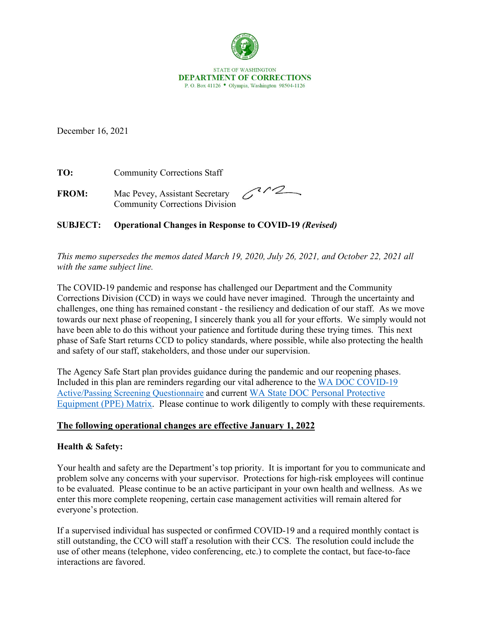

December 16, 2021

**TO:** Community Corrections Staff

**FROM:** Mac Pevey, Assistant Secretary Community Corrections Division

 $C^{1/2}$ 

# **SUBJECT: Operational Changes in Response to COVID-19** *(Revised)*

*This memo supersedes the memos dated March 19, 2020, July 26, 2021, and October 22, 2021 all with the same subject line.* 

The COVID-19 pandemic and response has challenged our Department and the Community Corrections Division (CCD) in ways we could have never imagined. Through the uncertainty and challenges, one thing has remained constant - the resiliency and dedication of our staff. As we move towards our next phase of reopening, I sincerely thank you all for your efforts. We simply would not have been able to do this without your patience and fortitude during these trying times. This next phase of Safe Start returns CCD to policy standards, where possible, while also protecting the health and safety of our staff, stakeholders, and those under our supervision.

The Agency Safe Start plan provides guidance during the pandemic and our reopening phases. Included in this plan are reminders regarding our vital adherence to the [WA DOC COVID-19](http://internetdemo/corrections/covid-19/docs/active-screening-questionnaire.pdf)  [Active/Passing Screening Questionnaire](http://internetdemo/corrections/covid-19/docs/active-screening-questionnaire.pdf) and current [WA State DOC Personal Protective](https://doc.wa.gov/corrections/covid-19/docs/ppe-matrix.pdf)  [Equipment \(PPE\) Matrix.](https://doc.wa.gov/corrections/covid-19/docs/ppe-matrix.pdf) Please continue to work diligently to comply with these requirements.

# **The following operational changes are effective January 1, 2022**

# **Health & Safety:**

Your health and safety are the Department's top priority. It is important for you to communicate and problem solve any concerns with your supervisor. Protections for high-risk employees will continue to be evaluated. Please continue to be an active participant in your own health and wellness. As we enter this more complete reopening, certain case management activities will remain altered for everyone's protection.

If a supervised individual has suspected or confirmed COVID-19 and a required monthly contact is still outstanding, the CCO will staff a resolution with their CCS. The resolution could include the use of other means (telephone, video conferencing, etc.) to complete the contact, but face-to-face interactions are favored.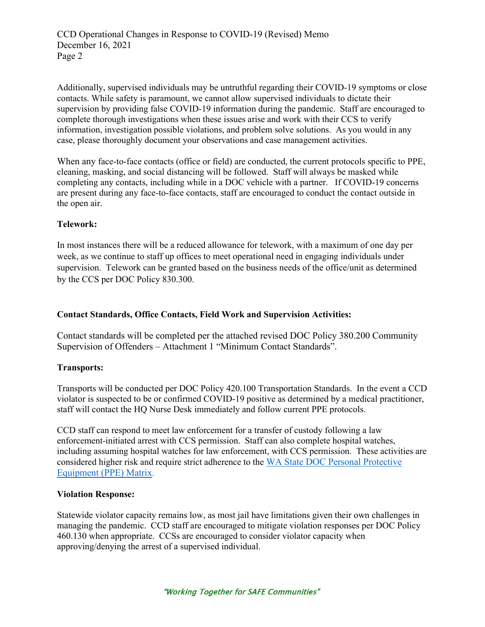Additionally, supervised individuals may be untruthful regarding their COVID-19 symptoms or close contacts. While safety is paramount, we cannot allow supervised individuals to dictate their supervision by providing false COVID-19 information during the pandemic. Staff are encouraged to complete thorough investigations when these issues arise and work with their CCS to verify information, investigation possible violations, and problem solve solutions. As you would in any case, please thoroughly document your observations and case management activities.

When any face-to-face contacts (office or field) are conducted, the current protocols specific to PPE, cleaning, masking, and social distancing will be followed. Staff will always be masked while completing any contacts, including while in a DOC vehicle with a partner. If COVID-19 concerns are present during any face-to-face contacts, staff are encouraged to conduct the contact outside in the open air.

# **Telework:**

In most instances there will be a reduced allowance for telework, with a maximum of one day per week, as we continue to staff up offices to meet operational need in engaging individuals under supervision. Telework can be granted based on the business needs of the office/unit as determined by the CCS per DOC Policy 830.300.

# **Contact Standards, Office Contacts, Field Work and Supervision Activities:**

Contact standards will be completed per the attached revised DOC Policy 380.200 Community Supervision of Offenders – Attachment 1 "Minimum Contact Standards".

### **Transports:**

Transports will be conducted per DOC Policy 420.100 Transportation Standards. In the event a CCD violator is suspected to be or confirmed COVID-19 positive as determined by a medical practitioner, staff will contact the HQ Nurse Desk immediately and follow current PPE protocols.

CCD staff can respond to meet law enforcement for a transfer of custody following a law enforcement-initiated arrest with CCS permission. Staff can also complete hospital watches, including assuming hospital watches for law enforcement, with CCS permission. These activities are considered higher risk and require strict adherence to the [WA State DOC Personal Protective](https://doc.wa.gov/corrections/covid-19/docs/ppe-matrix.pdf)  [Equipment \(PPE\) Matrix.](https://doc.wa.gov/corrections/covid-19/docs/ppe-matrix.pdf)

### **Violation Response:**

Statewide violator capacity remains low, as most jail have limitations given their own challenges in managing the pandemic. CCD staff are encouraged to mitigate violation responses per DOC Policy 460.130 when appropriate. CCSs are encouraged to consider violator capacity when approving/denying the arrest of a supervised individual.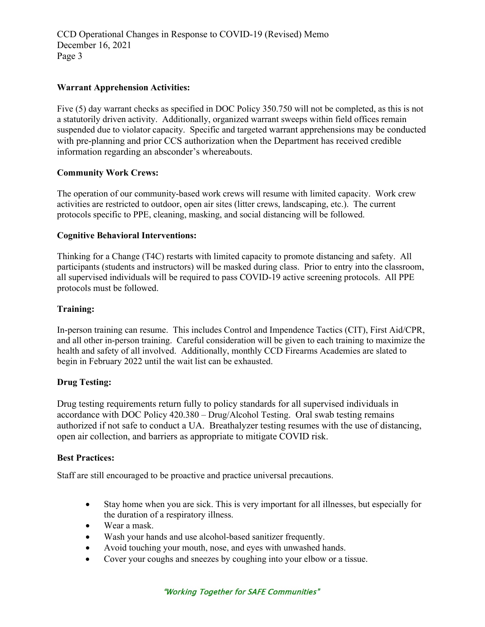# **Warrant Apprehension Activities:**

Five (5) day warrant checks as specified in DOC Policy 350.750 will not be completed, as this is not a statutorily driven activity. Additionally, organized warrant sweeps within field offices remain suspended due to violator capacity. Specific and targeted warrant apprehensions may be conducted with pre-planning and prior CCS authorization when the Department has received credible information regarding an absconder's whereabouts.

### **Community Work Crews:**

The operation of our community-based work crews will resume with limited capacity. Work crew activities are restricted to outdoor, open air sites (litter crews, landscaping, etc.). The current protocols specific to PPE, cleaning, masking, and social distancing will be followed.

### **Cognitive Behavioral Interventions:**

Thinking for a Change (T4C) restarts with limited capacity to promote distancing and safety. All participants (students and instructors) will be masked during class. Prior to entry into the classroom, all supervised individuals will be required to pass COVID-19 active screening protocols. All PPE protocols must be followed.

# **Training:**

In-person training can resume. This includes Control and Impendence Tactics (CIT), First Aid/CPR, and all other in-person training. Careful consideration will be given to each training to maximize the health and safety of all involved. Additionally, monthly CCD Firearms Academies are slated to begin in February 2022 until the wait list can be exhausted.

### **Drug Testing:**

Drug testing requirements return fully to policy standards for all supervised individuals in accordance with DOC Policy 420.380 – Drug/Alcohol Testing. Oral swab testing remains authorized if not safe to conduct a UA. Breathalyzer testing resumes with the use of distancing, open air collection, and barriers as appropriate to mitigate COVID risk.

### **Best Practices:**

Staff are still encouraged to be proactive and practice universal precautions.

- Stay home when you are sick. This is very important for all illnesses, but especially for the duration of a respiratory illness.
- Wear a mask.
- Wash your hands and use alcohol-based sanitizer frequently.
- Avoid touching your mouth, nose, and eyes with unwashed hands.
- Cover your coughs and sneezes by coughing into your elbow or a tissue.